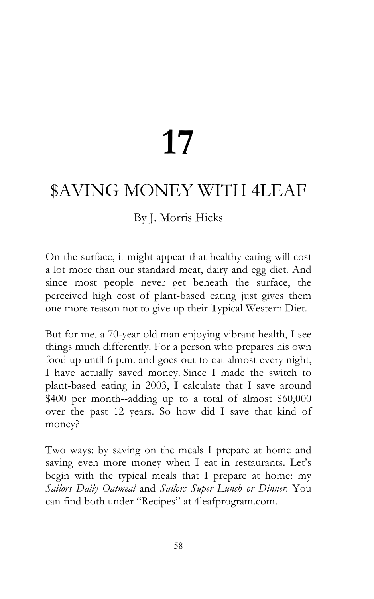# **17**

# \$AVING MONEY WITH 4LEAF

## By J. Morris Hicks

On the surface, it might appear that healthy eating will cost a lot more than our standard meat, dairy and egg diet. And since most people never get beneath the surface, the perceived high cost of plant-based eating just gives them one more reason not to give up their Typical Western Diet.

But for me, a 70-year old man enjoying vibrant health, I see things much differently. For a person who prepares his own food up until 6 p.m. and goes out to eat almost every night, I have actually saved money. Since I made the switch to plant-based eating in 2003, I calculate that I save around \$400 per month--adding up to a total of almost \$60,000 over the past 12 years. So how did I save that kind of money?

Two ways: by saving on the meals I prepare at home and saving even more money when I eat in restaurants. Let's begin with the typical meals that I prepare at home: my *Sailors Daily Oatmeal* and *Sailors Super Lunch or Dinner*. You can find both under "Recipes" at 4leafprogram.com.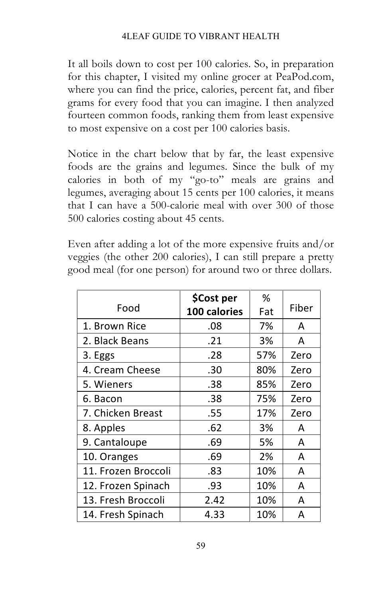It all boils down to cost per 100 calories. So, in preparation for this chapter, I visited my online grocer at PeaPod.com, where you can find the price, calories, percent fat, and fiber grams for every food that you can imagine. I then analyzed fourteen common foods, ranking them from least expensive to most expensive on a cost per 100 calories basis.

Notice in the chart below that by far, the least expensive foods are the grains and legumes. Since the bulk of my calories in both of my "go-to" meals are grains and legumes, averaging about 15 cents per 100 calories, it means that I can have a 500-calorie meal with over 300 of those 500 calories costing about 45 cents.

Even after adding a lot of the more expensive fruits and/or veggies (the other 200 calories), I can still prepare a pretty good meal (for one person) for around two or three dollars.

|                     | \$Cost per   | %   |       |
|---------------------|--------------|-----|-------|
| Food                | 100 calories | Fat | Fiber |
| 1. Brown Rice       | .08          | 7%  | A     |
| 2. Black Beans      | .21          | 3%  | A     |
| 3. Eggs             | .28          | 57% | Zero  |
| 4. Cream Cheese     | .30          | 80% | Zero  |
| 5. Wieners          | .38          | 85% | Zero  |
| 6. Bacon            | .38          | 75% | Zero  |
| 7. Chicken Breast   | .55          | 17% | Zero  |
| 8. Apples           | .62          | 3%  | A     |
| 9. Cantaloupe       | .69          | 5%  | A     |
| 10. Oranges         | .69          | 2%  | A     |
| 11. Frozen Broccoli | .83          | 10% | A     |
| 12. Frozen Spinach  | .93          | 10% | A     |
| 13. Fresh Broccoli  | 2.42         | 10% | A     |
| 14. Fresh Spinach   | 4.33         | 10% | А     |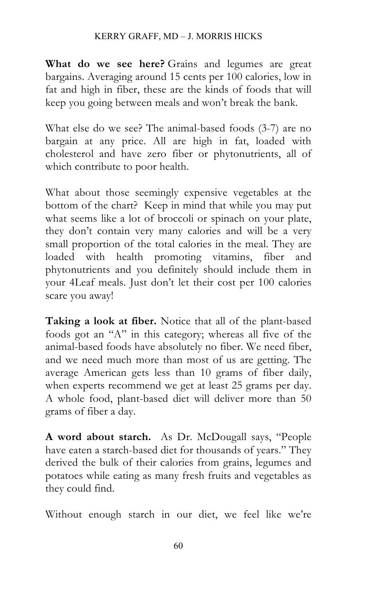#### KERRY GRAFF, MD – J. MORRIS HICKS

**What do we see here?** Grains and legumes are great bargains. Averaging around 15 cents per 100 calories, low in fat and high in fiber, these are the kinds of foods that will keep you going between meals and won't break the bank.

What else do we see? The animal-based foods (3-7) are no bargain at any price. All are high in fat, loaded with cholesterol and have zero fiber or phytonutrients, all of which contribute to poor health.

What about those seemingly expensive vegetables at the bottom of the chart? Keep in mind that while you may put what seems like a lot of broccoli or spinach on your plate, they don't contain very many calories and will be a very small proportion of the total calories in the meal. They are loaded with health promoting vitamins, fiber and phytonutrients and you definitely should include them in your 4Leaf meals. Just don't let their cost per 100 calories scare you away!

**Taking a look at fiber.** Notice that all of the plant-based foods got an "A" in this category; whereas all five of the animal-based foods have absolutely no fiber. We need fiber, and we need much more than most of us are getting. The average American gets less than 10 grams of fiber daily, when experts recommend we get at least 25 grams per day. A whole food, plant-based diet will deliver more than 50 grams of fiber a day.

**A word about starch.** As Dr. McDougall says, "People have eaten a starch-based diet for thousands of years." They derived the bulk of their calories from grains, legumes and potatoes while eating as many fresh fruits and vegetables as they could find.

Without enough starch in our diet, we feel like we're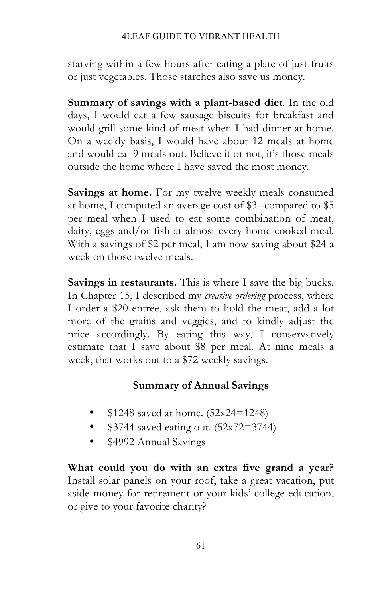#### 4LEAF GUIDE TO VIBRANT HEALTH

starving within a few hours after eating a plate of just fruits or just vegetables. Those starches also save us money.

**Summary of savings with a plant-based diet**. In the old days, I would eat a few sausage biscuits for breakfast and would grill some kind of meat when I had dinner at home. On a weekly basis, I would have about 12 meals at home and would eat 9 meals out. Believe it or not, it's those meals outside the home where I have saved the most money.

**Savings at home.** For my twelve weekly meals consumed at home, I computed an average cost of \$3--compared to \$5 per meal when I used to eat some combination of meat, dairy, eggs and/or fish at almost every home-cooked meal. With a savings of \$2 per meal, I am now saving about \$24 a week on those twelve meals.

**Savings in restaurants.** This is where I save the big bucks. In Chapter 15, I described my *creative ordering* process, where I order a \$20 entrée, ask them to hold the meat, add a lot more of the grains and veggies, and to kindly adjust the price accordingly. By eating this way, I conservatively estimate that I save about \$8 per meal. At nine meals a week, that works out to a \$72 weekly savings.

### **Summary of Annual Savings**

- \$1248 saved at home. (52x24=1248)
- $$3744$  saved eating out.  $(52 \times 72 = 3744)$
- \$4992 Annual Savings

**What could you do with an extra five grand a year?**  Install solar panels on your roof, take a great vacation, put aside money for retirement or your kids' college education, or give to your favorite charity?